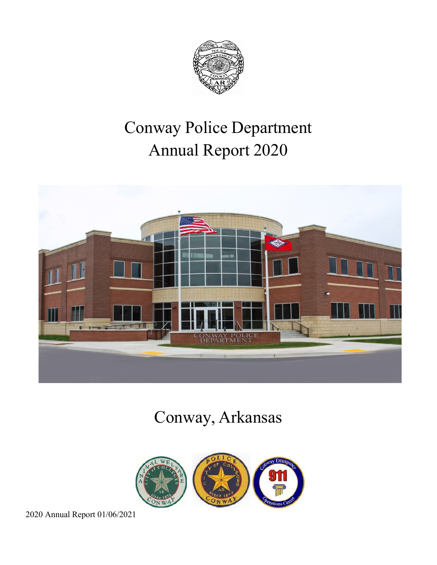

# Conway Police Department Annual Report 2020



# Conway, Arkansas

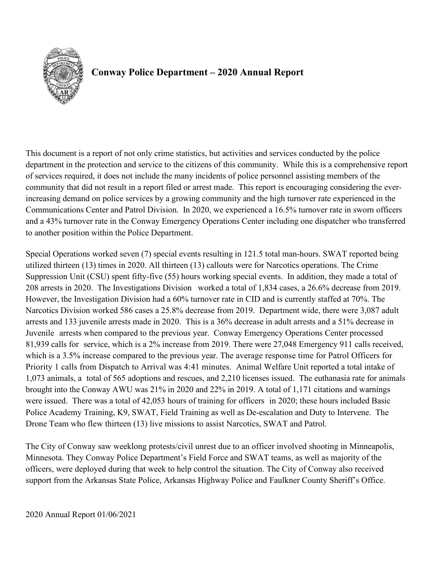

# **Conway Police Department – 2020 Annual Report**

This document is a report of not only crime statistics, but activities and services conducted by the police department in the protection and service to the citizens of this community. While this is a comprehensive report of services required, it does not include the many incidents of police personnel assisting members of the community that did not result in a report filed or arrest made. This report is encouraging considering the everincreasing demand on police services by a growing community and the high turnover rate experienced in the Communications Center and Patrol Division. In 2020, we experienced a 16.5% turnover rate in sworn officers and a 43% turnover rate in the Conway Emergency Operations Center including one dispatcher who transferred to another position within the Police Department.

Special Operations worked seven (7) special events resulting in 121.5 total man-hours. SWAT reported being utilized thirteen (13) times in 2020. All thirteen (13) callouts were for Narcotics operations. The Crime Suppression Unit (CSU) spent fifty-five (55) hours working special events. In addition, they made a total of 208 arrests in 2020. The Investigations Division worked a total of 1,834 cases, a 26.6% decrease from 2019. However, the Investigation Division had a 60% turnover rate in CID and is currently staffed at 70%. The Narcotics Division worked 586 cases a 25.8% decrease from 2019. Department wide, there were 3,087 adult arrests and 133 juvenile arrests made in 2020. This is a 36% decrease in adult arrests and a 51% decrease in Juvenile arrests when compared to the previous year. Conway Emergency Operations Center processed 81,939 calls for service, which is a 2% increase from 2019. There were 27,048 Emergency 911 calls received, which is a 3.5% increase compared to the previous year. The average response time for Patrol Officers for Priority 1 calls from Dispatch to Arrival was 4:41 minutes. Animal Welfare Unit reported a total intake of 1,073 animals, a total of 565 adoptions and rescues, and 2,210 licenses issued. The euthanasia rate for animals brought into the Conway AWU was 21% in 2020 and 22% in 2019. A total of 1,171 citations and warnings were issued. There was a total of 42,053 hours of training for officers in 2020; these hours included Basic Police Academy Training, K9, SWAT, Field Training as well as De-escalation and Duty to Intervene. The Drone Team who flew thirteen (13) live missions to assist Narcotics, SWAT and Patrol.

The City of Conway saw weeklong protests/civil unrest due to an officer involved shooting in Minneapolis, Minnesota. They Conway Police Department's Field Force and SWAT teams, as well as majority of the officers, were deployed during that week to help control the situation. The City of Conway also received support from the Arkansas State Police, Arkansas Highway Police and Faulkner County Sheriff's Office.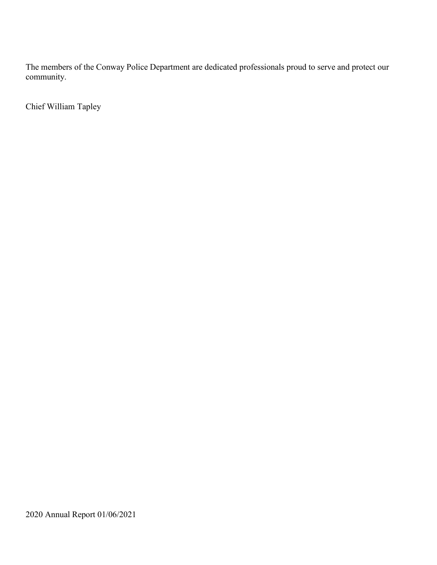The members of the Conway Police Department are dedicated professionals proud to serve and protect our community.

Chief William Tapley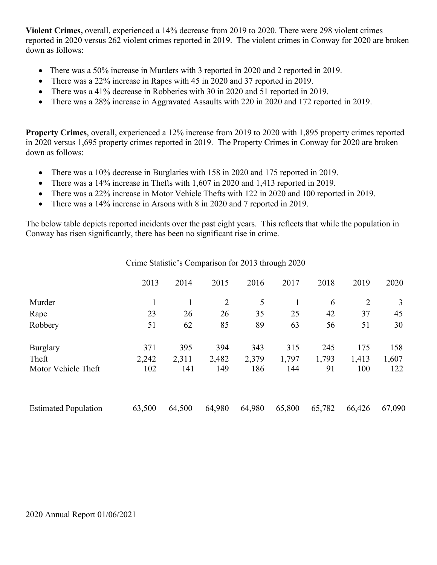**Violent Crimes,** overall, experienced a 14% decrease from 2019 to 2020. There were 298 violent crimes reported in 2020 versus 262 violent crimes reported in 2019. The violent crimes in Conway for 2020 are broken down as follows:

- There was a 50% increase in Murders with 3 reported in 2020 and 2 reported in 2019.
- There was a 22% increase in Rapes with 45 in 2020 and 37 reported in 2019.
- There was a 41% decrease in Robberies with 30 in 2020 and 51 reported in 2019.
- There was a 28% increase in Aggravated Assaults with 220 in 2020 and 172 reported in 2019.

**Property Crimes**, overall, experienced a 12% increase from 2019 to 2020 with 1,895 property crimes reported in 2020 versus 1,695 property crimes reported in 2019. The Property Crimes in Conway for 2020 are broken down as follows:

- There was a 10% decrease in Burglaries with 158 in 2020 and 175 reported in 2019.
- There was a 14% increase in Thefts with 1,607 in 2020 and 1,413 reported in 2019.
- There was a 22% increase in Motor Vehicle Thefts with 122 in 2020 and 100 reported in 2019.
- There was a 14% increase in Arsons with 8 in 2020 and 7 reported in 2019.

The below table depicts reported incidents over the past eight years. This reflects that while the population in Conway has risen significantly, there has been no significant rise in crime.

Crime Statistic's Comparison for 2013 through 2020

|                             | 2013   | 2014   | 2015           | 2016   | 2017   | 2018   | 2019           | 2020   |
|-----------------------------|--------|--------|----------------|--------|--------|--------|----------------|--------|
| Murder                      |        |        | $\overline{2}$ | 5      |        | 6      | $\overline{2}$ | 3      |
| Rape                        | 23     | 26     | 26             | 35     | 25     | 42     | 37             | 45     |
| Robbery                     | 51     | 62     | 85             | 89     | 63     | 56     | 51             | 30     |
| <b>Burglary</b>             | 371    | 395    | 394            | 343    | 315    | 245    | 175            | 158    |
| Theft                       | 2,242  | 2,311  | 2,482          | 2,379  | 1,797  | 1,793  | 1,413          | 1,607  |
| Motor Vehicle Theft         | 102    | 141    | 149            | 186    | 144    | 91     | 100            | 122    |
| <b>Estimated Population</b> | 63,500 | 64,500 | 64,980         | 64,980 | 65,800 | 65,782 | 66,426         | 67,090 |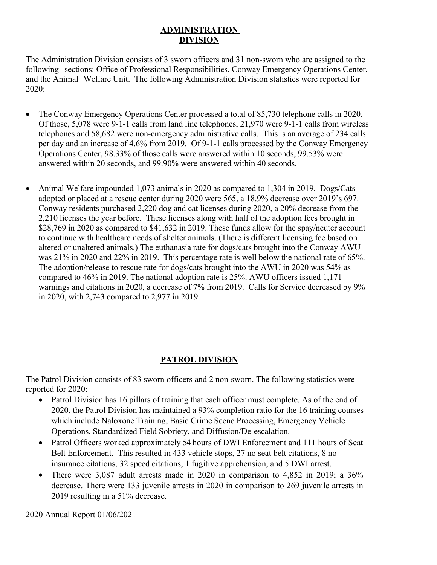### **ADMINISTRATION DIVISION**

The Administration Division consists of 3 sworn officers and 31 non-sworn who are assigned to the following sections: Office of Professional Responsibilities, Conway Emergency Operations Center, and the Animal Welfare Unit. The following Administration Division statistics were reported for 2020:

- The Conway Emergency Operations Center processed a total of 85,730 telephone calls in 2020. Of those, 5,078 were 9-1-1 calls from land line telephones, 21,970 were 9-1-1 calls from wireless telephones and 58,682 were non-emergency administrative calls. This is an average of 234 calls per day and an increase of 4.6% from 2019. Of 9-1-1 calls processed by the Conway Emergency Operations Center, 98.33% of those calls were answered within 10 seconds, 99.53% were answered within 20 seconds, and 99.90% were answered within 40 seconds.
- Animal Welfare impounded 1,073 animals in 2020 as compared to 1,304 in 2019. Dogs/Cats adopted or placed at a rescue center during 2020 were 565, a 18.9% decrease over 2019's 697. Conway residents purchased 2,220 dog and cat licenses during 2020, a 20% decrease from the 2,210 licenses the year before. These licenses along with half of the adoption fees brought in \$28,769 in 2020 as compared to \$41,632 in 2019. These funds allow for the spay/neuter account to continue with healthcare needs of shelter animals. (There is different licensing fee based on altered or unaltered animals.) The euthanasia rate for dogs/cats brought into the Conway AWU was 21% in 2020 and 22% in 2019. This percentage rate is well below the national rate of 65%. The adoption/release to rescue rate for dogs/cats brought into the AWU in 2020 was 54% as compared to 46% in 2019. The national adoption rate is 25%. AWU officers issued 1,171 warnings and citations in 2020, a decrease of 7% from 2019. Calls for Service decreased by 9% in 2020, with 2,743 compared to 2,977 in 2019.

## **PATROL DIVISION**

The Patrol Division consists of 83 sworn officers and 2 non-sworn. The following statistics were reported for 2020:

- Patrol Division has 16 pillars of training that each officer must complete. As of the end of 2020, the Patrol Division has maintained a 93% completion ratio for the 16 training courses which include Naloxone Training, Basic Crime Scene Processing, Emergency Vehicle Operations, Standardized Field Sobriety, and Diffusion/De-escalation.
- Patrol Officers worked approximately 54 hours of DWI Enforcement and 111 hours of Seat Belt Enforcement. This resulted in 433 vehicle stops, 27 no seat belt citations, 8 no insurance citations, 32 speed citations, 1 fugitive apprehension, and 5 DWI arrest.
- There were 3,087 adult arrests made in 2020 in comparison to 4,852 in 2019; a 36% decrease. There were 133 juvenile arrests in 2020 in comparison to 269 juvenile arrests in 2019 resulting in a 51% decrease.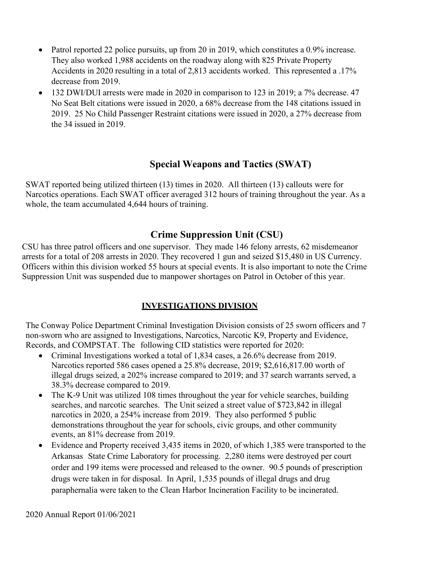- Patrol reported 22 police pursuits, up from 20 in 2019, which constitutes a 0.9% increase. They also worked 1,988 accidents on the roadway along with 825 Private Property Accidents in 2020 resulting in a total of 2,813 accidents worked. This represented a .17% decrease from 2019.
- 132 DWI/DUI arrests were made in 2020 in comparison to 123 in 2019; a 7% decrease. 47 No Seat Belt citations were issued in 2020, a 68% decrease from the 148 citations issued in 2019. 25 No Child Passenger Restraint citations were issued in 2020, a 27% decrease from the 34 issued in 2019.

## **Special Weapons and Tactics (SWAT)**

SWAT reported being utilized thirteen (13) times in 2020. All thirteen (13) callouts were for Narcotics operations. Each SWAT officer averaged 312 hours of training throughout the year. As a whole, the team accumulated 4,644 hours of training.

## **Crime Suppression Unit (CSU)**

CSU has three patrol officers and one supervisor. They made 146 felony arrests, 62 misdemeanor arrests for a total of 208 arrests in 2020. They recovered 1 gun and seized \$15,480 in US Currency. Officers within this division worked 55 hours at special events. It is also important to note the Crime Suppression Unit was suspended due to manpower shortages on Patrol in October of this year.

### **INVESTIGATIONS DIVISION**

The Conway Police Department Criminal Investigation Division consists of 25 sworn officers and 7 non-sworn who are assigned to Investigations, Narcotics, Narcotic K9, Property and Evidence, Records, and COMPSTAT. The following CID statistics were reported for 2020:

- Criminal Investigations worked a total of 1,834 cases, a 26.6% decrease from 2019. Narcotics reported 586 cases opened a 25.8% decrease, 2019; \$2,616,817.00 worth of illegal drugs seized, a 202% increase compared to 2019; and 37 search warrants served, a 38.3% decrease compared to 2019.
- The K-9 Unit was utilized 108 times throughout the year for vehicle searches, building searches, and narcotic searches. The Unit seized a street value of \$723,842 in illegal narcotics in 2020, a 254% increase from 2019. They also performed 5 public demonstrations throughout the year for schools, civic groups, and other community events, an 81% decrease from 2019.
- Evidence and Property received 3,435 items in 2020, of which 1,385 were transported to the Arkansas State Crime Laboratory for processing. 2,280 items were destroyed per court order and 199 items were processed and released to the owner. 90.5 pounds of prescription drugs were taken in for disposal. In April, 1,535 pounds of illegal drugs and drug paraphernalia were taken to the Clean Harbor Incineration Facility to be incinerated.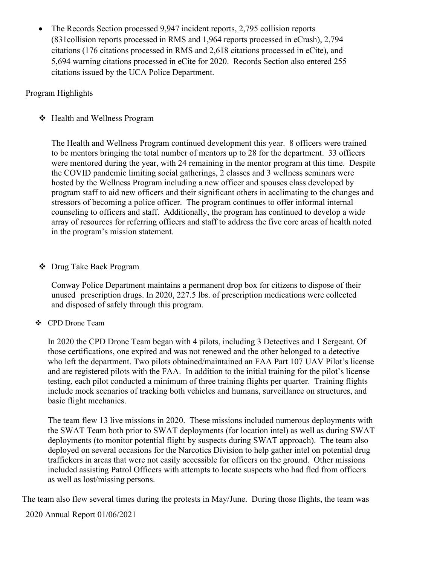• The Records Section processed 9,947 incident reports, 2,795 collision reports (831collision reports processed in RMS and 1,964 reports processed in eCrash), 2,794 citations (176 citations processed in RMS and 2,618 citations processed in eCite), and 5,694 warning citations processed in eCite for 2020. Records Section also entered 255 citations issued by the UCA Police Department.

#### Program Highlights

Health and Wellness Program

The Health and Wellness Program continued development this year. 8 officers were trained to be mentors bringing the total number of mentors up to 28 for the department. 33 officers were mentored during the year, with 24 remaining in the mentor program at this time. Despite the COVID pandemic limiting social gatherings, 2 classes and 3 wellness seminars were hosted by the Wellness Program including a new officer and spouses class developed by program staff to aid new officers and their significant others in acclimating to the changes and stressors of becoming a police officer. The program continues to offer informal internal counseling to officers and staff. Additionally, the program has continued to develop a wide array of resources for referring officers and staff to address the five core areas of health noted in the program's mission statement.

Drug Take Back Program

Conway Police Department maintains a permanent drop box for citizens to dispose of their unused prescription drugs. In 2020, 227.5 lbs. of prescription medications were collected and disposed of safely through this program.

CPD Drone Team

In 2020 the CPD Drone Team began with 4 pilots, including 3 Detectives and 1 Sergeant. Of those certifications, one expired and was not renewed and the other belonged to a detective who left the department. Two pilots obtained/maintained an FAA Part 107 UAV Pilot's license and are registered pilots with the FAA. In addition to the initial training for the pilot's license testing, each pilot conducted a minimum of three training flights per quarter. Training flights include mock scenarios of tracking both vehicles and humans, surveillance on structures, and basic flight mechanics.

The team flew 13 live missions in 2020. These missions included numerous deployments with the SWAT Team both prior to SWAT deployments (for location intel) as well as during SWAT deployments (to monitor potential flight by suspects during SWAT approach). The team also deployed on several occasions for the Narcotics Division to help gather intel on potential drug traffickers in areas that were not easily accessible for officers on the ground. Other missions included assisting Patrol Officers with attempts to locate suspects who had fled from officers as well as lost/missing persons.

The team also flew several times during the protests in May/June. During those flights, the team was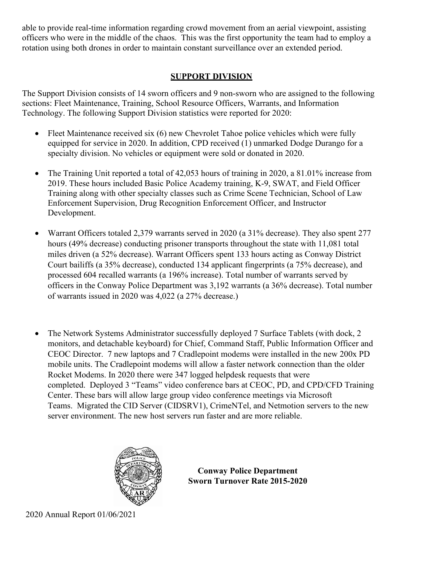able to provide real-time information regarding crowd movement from an aerial viewpoint, assisting officers who were in the middle of the chaos. This was the first opportunity the team had to employ a rotation using both drones in order to maintain constant surveillance over an extended period.

## **SUPPORT DIVISION**

The Support Division consists of 14 sworn officers and 9 non-sworn who are assigned to the following sections: Fleet Maintenance, Training, School Resource Officers, Warrants, and Information Technology. The following Support Division statistics were reported for 2020:

- Fleet Maintenance received six (6) new Chevrolet Tahoe police vehicles which were fully equipped for service in 2020. In addition, CPD received (1) unmarked Dodge Durango for a specialty division. No vehicles or equipment were sold or donated in 2020.
- The Training Unit reported a total of 42,053 hours of training in 2020, a 81.01% increase from 2019. These hours included Basic Police Academy training, K-9, SWAT, and Field Officer Training along with other specialty classes such as Crime Scene Technician, School of Law Enforcement Supervision, Drug Recognition Enforcement Officer, and Instructor Development.
- Warrant Officers totaled 2,379 warrants served in 2020 (a 31% decrease). They also spent 277 hours (49% decrease) conducting prisoner transports throughout the state with 11,081 total miles driven (a 52% decrease). Warrant Officers spent 133 hours acting as Conway District Court bailiffs (a 35% decrease), conducted 134 applicant fingerprints (a 75% decrease), and processed 604 recalled warrants (a 196% increase). Total number of warrants served by officers in the Conway Police Department was 3,192 warrants (a 36% decrease). Total number of warrants issued in 2020 was 4,022 (a 27% decrease.)
- The Network Systems Administrator successfully deployed 7 Surface Tablets (with dock, 2 monitors, and detachable keyboard) for Chief, Command Staff, Public Information Officer and CEOC Director. 7 new laptops and 7 Cradlepoint modems were installed in the new 200x PD mobile units. The Cradlepoint modems will allow a faster network connection than the older Rocket Modems. In 2020 there were 347 logged helpdesk requests that were completed. Deployed 3 "Teams" video conference bars at CEOC, PD, and CPD/CFD Training Center. These bars will allow large group video conference meetings via Microsoft Teams. Migrated the CID Server (CIDSRV1), CrimeNTel, and Netmotion servers to the new server environment. The new host servers run faster and are more reliable.



**Conway Police Department Sworn Turnover Rate 2015-2020**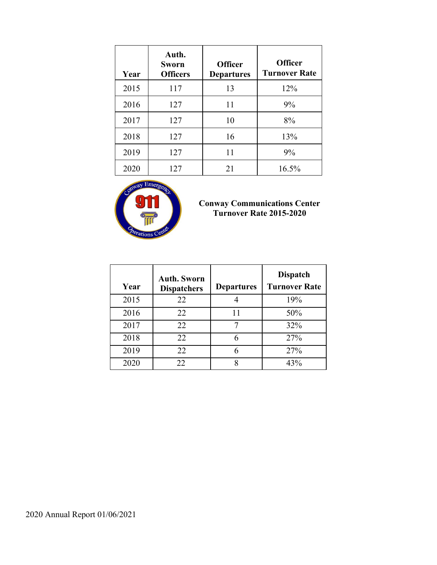| Year | Auth.<br>Sworn<br><b>Officers</b> | <b>Officer</b><br><b>Departures</b> | <b>Officer</b><br><b>Turnover Rate</b> |
|------|-----------------------------------|-------------------------------------|----------------------------------------|
| 2015 | 117                               | 13                                  | 12%                                    |
| 2016 | 127                               | 11                                  | 9%                                     |
| 2017 | 127                               | 10                                  | 8%                                     |
| 2018 | 127                               | 16                                  | 13%                                    |
| 2019 | 127                               | 11                                  | 9%                                     |
| 2020 | 127                               | 21                                  | 16.5%                                  |



#### **Conway Communications Center Turnover Rate 2015-2020**

| Year | <b>Auth. Sworn</b><br><b>Dispatchers</b> | <b>Departures</b> | <b>Dispatch</b><br><b>Turnover Rate</b> |
|------|------------------------------------------|-------------------|-----------------------------------------|
| 2015 | 22                                       |                   | 19%                                     |
| 2016 | 22                                       | 11                | 50%                                     |
| 2017 | 22                                       |                   | 32%                                     |
| 2018 | 22                                       | 6                 | 27%                                     |
| 2019 | 22                                       |                   | 27%                                     |
| 2020 | 22                                       | 8                 | 43%                                     |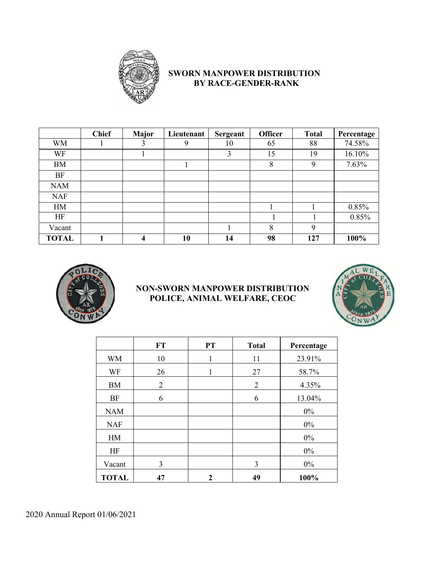

### **SWORN MANPOWER DISTRIBUTION BY RACE-GENDER-RANK**

|              | <b>Chief</b> | <b>Major</b> | Lieutenant | Sergeant | <b>Officer</b> | <b>Total</b> | Percentage |
|--------------|--------------|--------------|------------|----------|----------------|--------------|------------|
| <b>WM</b>    |              | 3            | 9          | 10       | 65             | 88           | 74.58%     |
| WF           |              |              |            | 3        | 15             | 19           | 16.10%     |
| <b>BM</b>    |              |              |            |          | 8              | 9            | 7.63%      |
| BF           |              |              |            |          |                |              |            |
| <b>NAM</b>   |              |              |            |          |                |              |            |
| <b>NAF</b>   |              |              |            |          |                |              |            |
| HM           |              |              |            |          |                |              | 0.85%      |
| HF           |              |              |            |          |                |              | 0.85%      |
| Vacant       |              |              |            |          | 8              | 9            |            |
| <b>TOTAL</b> |              | 4            | 10         | 14       | 98             | 127          | 100%       |



#### **NON-SWORN MANPOWER DISTRIBUTION POLICE, ANIMAL WELFARE, CEOC**



|              | <b>FT</b>      | <b>PT</b> | <b>Total</b> | Percentage |
|--------------|----------------|-----------|--------------|------------|
| <b>WM</b>    | 10             | 1         | 11           | 23.91%     |
| WF           | 26             | 1         | 27           | 58.7%      |
| <b>BM</b>    | $\overline{2}$ |           | 2            | 4.35%      |
| <b>BF</b>    | 6              |           | 6            | 13.04%     |
| <b>NAM</b>   |                |           |              | $0\%$      |
| <b>NAF</b>   |                |           |              | $0\%$      |
| HM           |                |           |              | $0\%$      |
| HF           |                |           |              | $0\%$      |
| Vacant       | 3              |           | 3            | $0\%$      |
| <b>TOTAL</b> | 47             | 2         | 49           | 100%       |